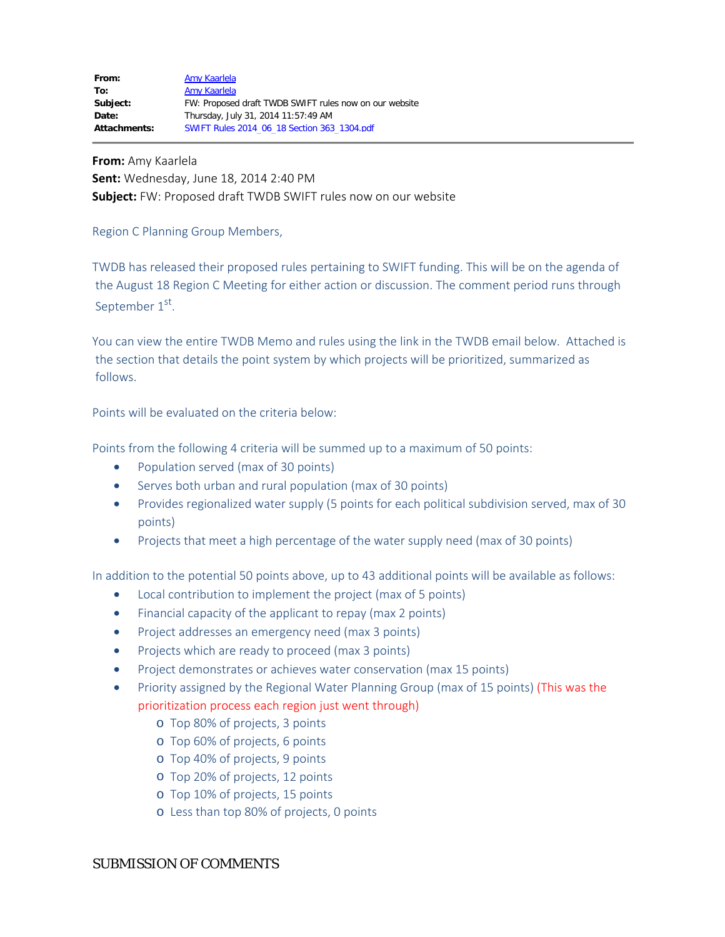**From:** Amy Kaarlela **Sent:** Wednesday, June 18, 2014 2:40 PM **Subject:** FW: Proposed draft TWDB SWIFT rules now on our website

Region C Planning Group Members,

TWDB has released their proposed rules pertaining to SWIFT funding. This will be on the agenda of the August 18 Region C Meeting for either action or discussion. The comment period runs through September 1st.

You can view the entire TWDB Memo and rules using the link in the TWDB email below. Attached is the section that details the point system by which projects will be prioritized, summarized as follows.

Points will be evaluated on the criteria below:

Points from the following 4 criteria will be summed up to a maximum of 50 points:

- Population served (max of 30 points)
- Serves both urban and rural population (max of 30 points)
- · Provides regionalized water supply (5 points for each political subdivision served, max of 30 points)
- · Projects that meet a high percentage of the water supply need (max of 30 points)

In addition to the potential 50 points above, up to 43 additional points will be available as follows:

- Local contribution to implement the project (max of 5 points)
- Financial capacity of the applicant to repay (max 2 points)
- Project addresses an emergency need (max 3 points)
- · Projects which are ready to proceed (max 3 points)
- Project demonstrates or achieves water conservation (max 15 points)
- Priority assigned by the Regional Water Planning Group (max of 15 points) (This was the prioritization process each region just went through)
	- o Top 80% of projects, 3 points
	- o Top 60% of projects, 6 points
	- o Top 40% of projects, 9 points
	- o Top 20% of projects, 12 points
	- o Top 10% of projects, 15 points
	- o Less than top 80% of projects, 0 points

## SUBMISSION OF COMMENTS